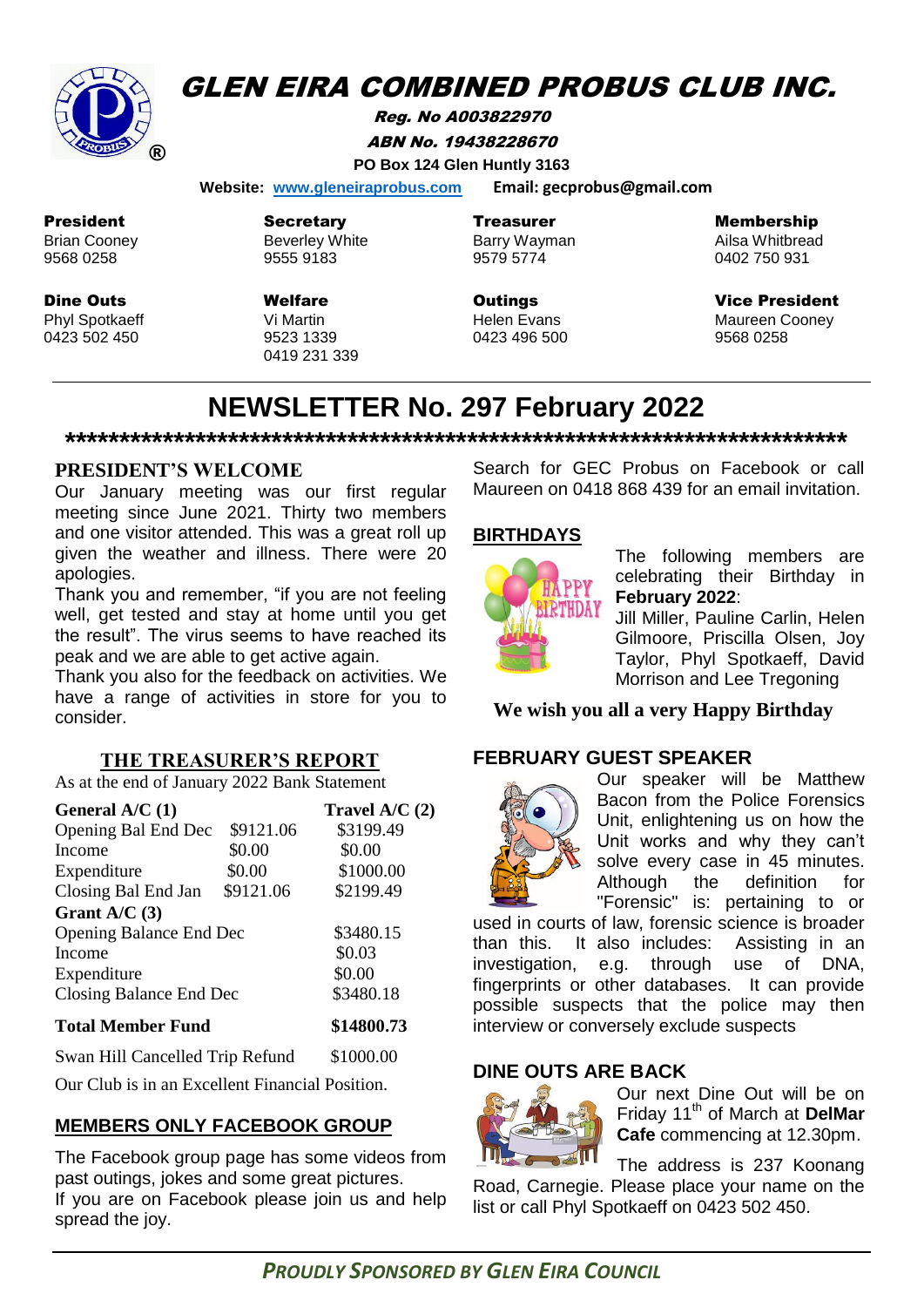

## **GLEN EIRA COMBINED PROBUS CLUB INC.**

Reg. No A003822970 ABN No. 19438228670 **PO Box 124 Glen Huntly 3163**

 **Website: [www.gleneiraprobus.com](http://www.gleneiraprobus.com/) Email: gecprobus@gmail.com**

President Brian Cooney

9568 0258

Dine Outs Phyl Spotkaeff 0423 502 450

**Secretary** Beverley White 9555 9183

Welfare Vi Martin 9523 1339 0419 231 339 Treasurer Barry Wayman 9579 5774

**Outings** Helen Evans 0423 496 500

#### Membership

Ailsa Whitbread 0402 750 931

Vice President Maureen Cooney 9568 0258

# **NEWSLETTER No. 297 February 2022**

**\*\*\*\*\*\*\*\*\*\*\*\*\*\*\*\*\*\*\*\*\*\*\*\*\*\*\*\*\*\*\*\*\*\*\*\*\*\*\*\*\*\*\*\*\*\*\*\*\*\*\*\*\*\*\*\*\*\*\*\*\*\*\*\*\*\*\*\*\*\*\*\***

#### **PRESIDENT'S WELCOME**

Our January meeting was our first regular meeting since June 2021. Thirty two members and one visitor attended. This was a great roll up given the weather and illness. There were 20 apologies.

Thank you and remember, "if you are not feeling well, get tested and stay at home until you get the result". The virus seems to have reached its peak and we are able to get active again.

Thank you also for the feedback on activities. We have a range of activities in store for you to consider.

#### **THE TREASURER'S REPORT**

As at the end of January 2022 Bank Statement

| General $A/C(1)$                                |           | Travel $A/C(2)$ |
|-------------------------------------------------|-----------|-----------------|
| Opening Bal End Dec                             | \$9121.06 | \$3199.49       |
| Income                                          | \$0.00    | \$0.00          |
| Expenditure                                     | \$0.00    | \$1000.00       |
| Closing Bal End Jan                             | \$9121.06 | \$2199.49       |
| Grant A/C $(3)$                                 |           |                 |
| Opening Balance End Dec                         |           | \$3480.15       |
| Income                                          |           | \$0.03          |
| Expenditure                                     |           | \$0.00          |
| Closing Balance End Dec                         |           | \$3480.18       |
| <b>Total Member Fund</b>                        |           | \$14800.73      |
| Swan Hill Cancelled Trip Refund                 |           | \$1000.00       |
| Our Club is in an Excellent Financial Position. |           |                 |

**MEMBERS ONLY FACEBOOK GROUP**

The Facebook group page has some videos from past outings, jokes and some great pictures. If you are on Facebook please join us and help spread the joy.

Search for GEC Probus on Facebook or call Maureen on 0418 868 439 for an email invitation.

#### **BIRTHDAYS**



The following members are celebrating their Birthday in **February 2022**:

Jill Miller, Pauline Carlin, Helen Gilmoore, Priscilla Olsen, Joy Taylor, Phyl Spotkaeff, David Morrison and Lee Tregoning

 **We wish you all a very Happy Birthday** 

#### **FEBRUARY GUEST SPEAKER**



Our speaker will be Matthew Bacon from the Police Forensics Unit, enlightening us on how the Unit works and why they can't solve every case in 45 minutes. Although the definition for "Forensic" is: pertaining to or

used in courts of law, forensic science is broader than this. It also includes: Assisting in an investigation, e.g. through use of DNA, fingerprints or other databases. It can provide possible suspects that the police may then interview or conversely exclude suspects

## **DINE OUTS ARE BACK**



Our next Dine Out will be on Friday 11th of March at **DelMar Cafe** commencing at 12.30pm.

The address is 237 Koonang Road, Carnegie. Please place your name on the list or call Phyl Spotkaeff on 0423 502 450.

*PROUDLY SPONSORED BY GLEN EIRA COUNCIL*